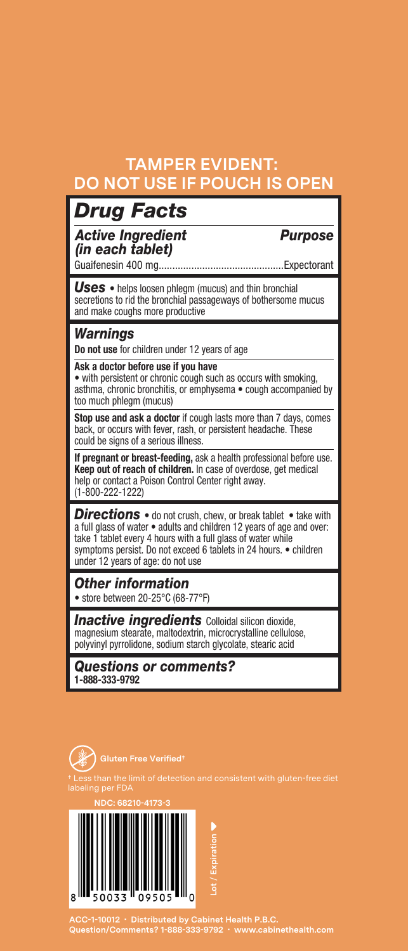### **TAMPER EVIDENT: DO NOT USE IF POUCH IS OPEN**

### *Drug Facts*

*Active Ingredient Purpose (in each tablet)*

Guaifenesin 400 mg..............................................Expectorant

*Uses* • helps loosen phlegm (mucus) and thin bronchial secretions to rid the bronchial passageways of bothersome mucus and make coughs more productive

### *Warnings*

**Do not use** for children under 12 years of age

#### **Ask a doctor before use if you have**

• with persistent or chronic cough such as occurs with smoking, asthma, chronic bronchitis, or emphysema • cough accompanied by too much phlegm (mucus)

**Stop use and ask a doctor** if cough lasts more than 7 days, comes back, or occurs with fever, rash, or persistent headache. These could be signs of a serious illness.

**If pregnant or breast-feeding,** ask a health professional before use. **Keep out of reach of children.** In case of overdose, get medical help or contact a Poison Control Center right away. (1-800-222-1222)

*Directions* • do not crush, chew, or break tablet • take with a full glass of water • adults and children 12 years of age and over: take 1 tablet every 4 hours with a full glass of water while symptoms persist. Do not exceed 6 tablets in 24 hours. • children under 12 years of age: do not use

*Other information* • store between 20-25°C (68-77°F)

**Inactive ingredients** Colloidal silicon dioxide, magnesium stearate, maltodextrin, microcrystalline cellulose, polyvinyl pyrrolidone, sodium starch glycolate, stearic acid

*Questions or comments?*  **1-888-333-9792**



**NDC: 68210-4173-3** 09505

**ACC-1-10012 • Distributed by Cabinet Health P.B.C. Question/Comments? 1-888-333-9792 • www.cabinethealth.com**

**Lot** / **Expiration**

ot / Expiration